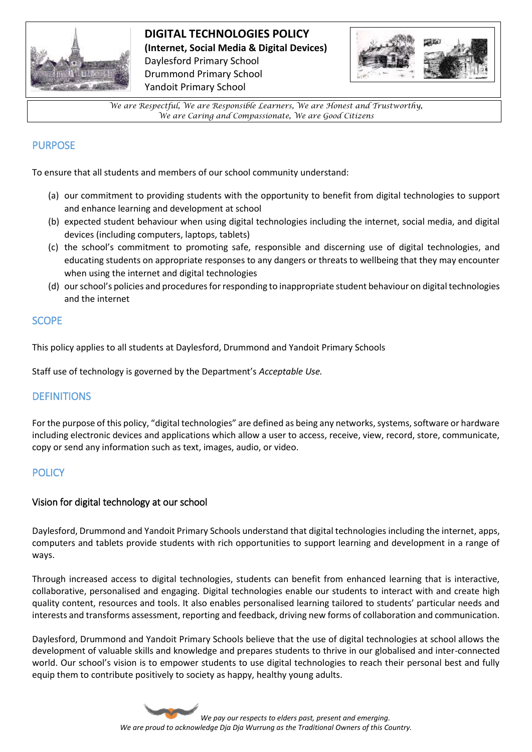

**DIGITAL TECHNOLOGIES POLICY (Internet, Social Media & Digital Devices)**  Daylesford Primary School Drummond Primary School Yandoit Primary School



*We are Respectful, We are Responsible Learners, We are Honest and Trustworthy, We are Caring and Compassionate, We are Good Citizens*

## PURPOSE

To ensure that all students and members of our school community understand:

- (a) our commitment to providing students with the opportunity to benefit from digital technologies to support and enhance learning and development at school
- (b) expected student behaviour when using digital technologies including the internet, social media, and digital devices (including computers, laptops, tablets)
- (c) the school's commitment to promoting safe, responsible and discerning use of digital technologies, and educating students on appropriate responses to any dangers or threats to wellbeing that they may encounter when using the internet and digital technologies
- (d) our school's policies and procedures for responding to inappropriate student behaviour on digital technologies and the internet

## **SCOPE**

This policy applies to all students at Daylesford, Drummond and Yandoit Primary Schools

Staff use of technology is governed by the Department's *Acceptable Use.*

## **DEFINITIONS**

For the purpose of this policy, "digital technologies" are defined as being any networks, systems, software or hardware including electronic devices and applications which allow a user to access, receive, view, record, store, communicate, copy or send any information such as text, images, audio, or video.

# **POLICY**

#### Vision for digital technology at our school

Daylesford, Drummond and Yandoit Primary Schools understand that digital technologies including the internet, apps, computers and tablets provide students with rich opportunities to support learning and development in a range of ways.

Through increased access to digital technologies, students can benefit from enhanced learning that is interactive, collaborative, personalised and engaging. Digital technologies enable our students to interact with and create high quality content, resources and tools. It also enables personalised learning tailored to students' particular needs and interests and transforms assessment, reporting and feedback, driving new forms of collaboration and communication.

Daylesford, Drummond and Yandoit Primary Schools believe that the use of digital technologies at school allows the development of valuable skills and knowledge and prepares students to thrive in our globalised and inter-connected world. Our school's vision is to empower students to use digital technologies to reach their personal best and fully equip them to contribute positively to society as happy, healthy young adults.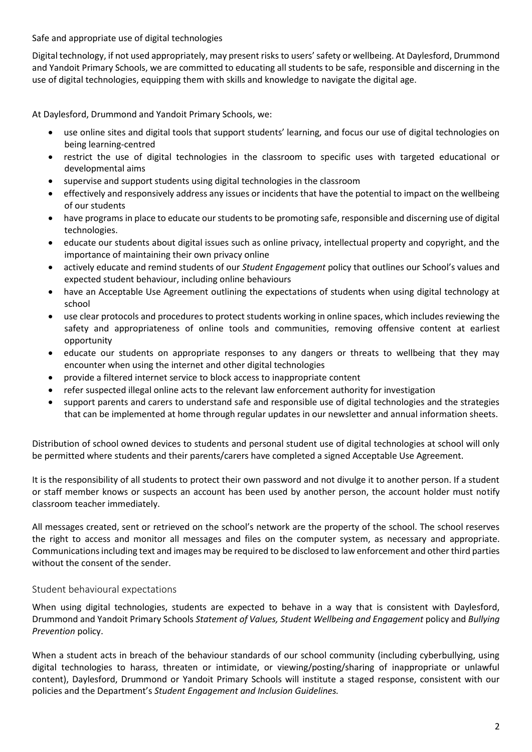Safe and appropriate use of digital technologies

Digital technology, if not used appropriately, may present risks to users' safety or wellbeing. At Daylesford, Drummond and Yandoit Primary Schools, we are committed to educating all students to be safe, responsible and discerning in the use of digital technologies, equipping them with skills and knowledge to navigate the digital age.

At Daylesford, Drummond and Yandoit Primary Schools, we:

- use online sites and digital tools that support students' learning, and focus our use of digital technologies on being learning-centred
- restrict the use of digital technologies in the classroom to specific uses with targeted educational or developmental aims
- supervise and support students using digital technologies in the classroom
- effectively and responsively address any issues or incidents that have the potential to impact on the wellbeing of our students
- have programs in place to educate our students to be promoting safe, responsible and discerning use of digital technologies.
- educate our students about digital issues such as online privacy, intellectual property and copyright, and the importance of maintaining their own privacy online
- actively educate and remind students of our *Student Engagement* policy that outlines our School's values and expected student behaviour, including online behaviours
- have an Acceptable Use Agreement outlining the expectations of students when using digital technology at school
- use clear protocols and procedures to protect students working in online spaces, which includes reviewing the safety and appropriateness of online tools and communities, removing offensive content at earliest opportunity
- educate our students on appropriate responses to any dangers or threats to wellbeing that they may encounter when using the internet and other digital technologies
- provide a filtered internet service to block access to inappropriate content
- refer suspected illegal online acts to the relevant law enforcement authority for investigation
- support parents and carers to understand safe and responsible use of digital technologies and the strategies that can be implemented at home through regular updates in our newsletter and annual information sheets.

Distribution of school owned devices to students and personal student use of digital technologies at school will only be permitted where students and their parents/carers have completed a signed Acceptable Use Agreement.

It is the responsibility of all students to protect their own password and not divulge it to another person. If a student or staff member knows or suspects an account has been used by another person, the account holder must notify classroom teacher immediately.

All messages created, sent or retrieved on the school's network are the property of the school. The school reserves the right to access and monitor all messages and files on the computer system, as necessary and appropriate. Communications including text and images may be required to be disclosed to law enforcement and other third parties without the consent of the sender.

#### Student behavioural expectations

When using digital technologies, students are expected to behave in a way that is consistent with Daylesford, Drummond and Yandoit Primary Schools *Statement of Values, Student Wellbeing and Engagement* policy and *Bullying Prevention* policy.

When a student acts in breach of the behaviour standards of our school community (including cyberbullying, using digital technologies to harass, threaten or intimidate, or viewing/posting/sharing of inappropriate or unlawful content), Daylesford, Drummond or Yandoit Primary Schools will institute a staged response, consistent with our policies and the Department's *Student Engagement and Inclusion Guidelines.*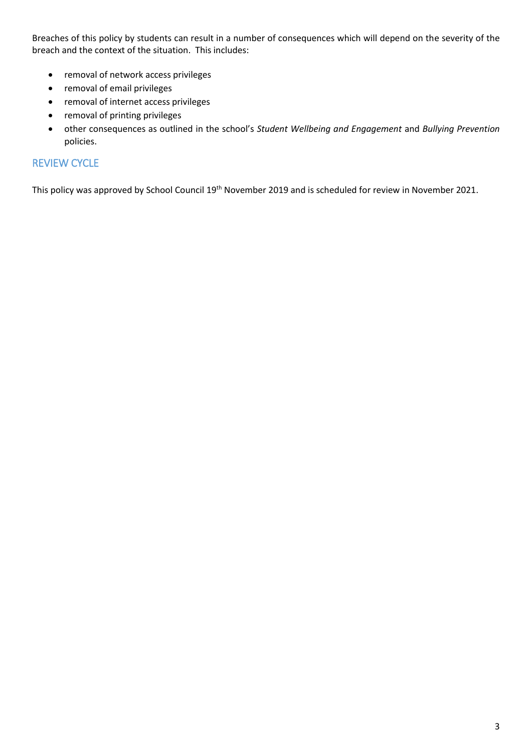Breaches of this policy by students can result in a number of consequences which will depend on the severity of the breach and the context of the situation. This includes:

- removal of network access privileges
- removal of email privileges
- removal of internet access privileges
- removal of printing privileges
- other consequences as outlined in the school's *Student Wellbeing and Engagement* and *Bullying Prevention* policies.

# REVIEW CYCLE

This policy was approved by School Council 19<sup>th</sup> November 2019 and is scheduled for review in November 2021.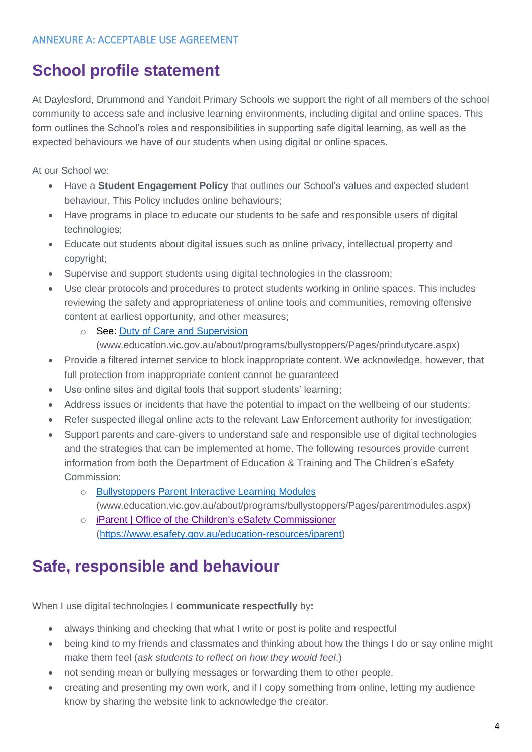# **School profile statement**

At Daylesford, Drummond and Yandoit Primary Schools we support the right of all members of the school community to access safe and inclusive learning environments, including digital and online spaces. This form outlines the School's roles and responsibilities in supporting safe digital learning, as well as the expected behaviours we have of our students when using digital or online spaces.

At our School we:

- Have a **Student Engagement Policy** that outlines our School's values and expected student behaviour. This Policy includes online behaviours;
- Have programs in place to educate our students to be safe and responsible users of digital technologies;
- Educate out students about digital issues such as online privacy, intellectual property and copyright;
- Supervise and support students using digital technologies in the classroom;
- Use clear protocols and procedures to protect students working in online spaces. This includes reviewing the safety and appropriateness of online tools and communities, removing offensive content at earliest opportunity, and other measures;
	- o See: [Duty of Care and Supervision](http://www.education.vic.gov.au/about/programs/bullystoppers/Pages/prindutycare.aspx) 
		- [\(www.education.vic.gov.au/about/programs/bullystoppers/Pages/prindutycare.aspx\)](http://www.education.vic.gov.au/about/programs/bullystoppers/Pages/prindutycare.aspx)
- Provide a filtered internet service to block inappropriate content. We acknowledge, however, that full protection from inappropriate content cannot be guaranteed
- Use online sites and digital tools that support students' learning;
- Address issues or incidents that have the potential to impact on the wellbeing of our students;
- Refer suspected illegal online acts to the relevant Law Enforcement authority for investigation;
- Support parents and care-givers to understand safe and responsible use of digital technologies and the strategies that can be implemented at home. The following resources provide current information from both the [Department of Education &](http://www.education.vic.gov.au/about/programs/bullystoppers/Pages/parentmodules.aspx) Training and The Children's eSafety Commission:
	- o [Bullystoppers Parent Interactive Learning Modules](http://www.education.vic.gov.au/about/programs/bullystoppers/Pages/parentmodules.aspx) [\(www.education.vic.gov.au/about/programs/bullystoppers/Pages/parentmodules.aspx\)](http://www.education.vic.gov.au/about/programs/bullystoppers/Pages/parentmodules.aspx)
	- o [iParent | Office of the Children's eSafety Commissioner](https://www.esafety.gov.au/education-resources/iparent) [\(https://www.esafety.gov.au/education-resources/iparent\)](https://www.esafety.gov.au/education-resources/iparent)

# **Safe, responsible and behaviour**

When I use digital technologies I **communicate respectfully** by**:**

- always thinking and checking that what I write or post is polite and respectful
- being kind to my friends and classmates and thinking about how the things I do or say online might make them feel (*ask students to reflect on how they would feel*.)
- not sending mean or bullying messages or forwarding them to other people.
- creating and presenting my own work, and if I copy something from online, letting my audience know by sharing the website link to acknowledge the creator.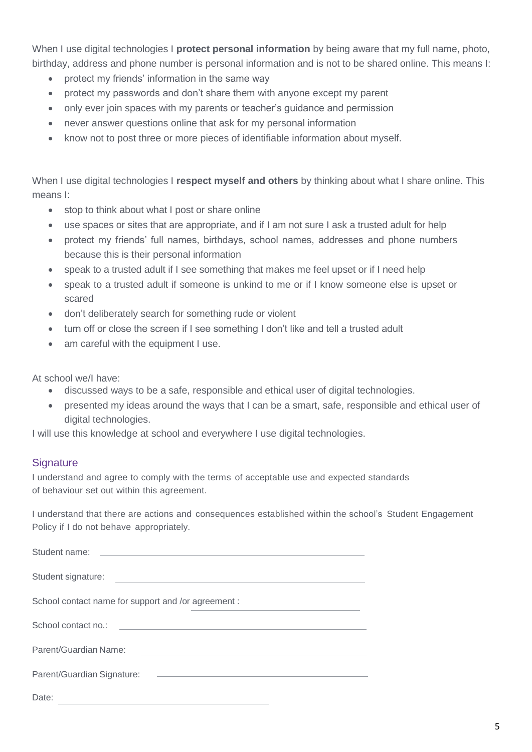When I use digital technologies I **protect personal information** by being aware that my full name, photo, birthday, address and phone number is personal information and is not to be shared online. This means I:

- protect my friends' information in the same way
- protect my passwords and don't share them with anyone except my parent
- only ever join spaces with my parents or teacher's guidance and permission
- never answer questions online that ask for my personal information
- know not to post three or more pieces of identifiable information about myself.

When I use digital technologies I **respect myself and others** by thinking about what I share online. This means I:

- stop to think about what I post or share online
- use spaces or sites that are appropriate, and if I am not sure I ask a trusted adult for help
- protect my friends' full names, birthdays, school names, addresses and phone numbers because this is their personal information
- speak to a trusted adult if I see something that makes me feel upset or if I need help
- speak to a trusted adult if someone is unkind to me or if I know someone else is upset or scared
- don't deliberately search for something rude or violent
- turn off or close the screen if I see something I don't like and tell a trusted adult
- am careful with the equipment I use.

At school we/I have:

- discussed ways to be a safe, responsible and ethical user of digital technologies.
- presented my ideas around the ways that I can be a smart, safe, responsible and ethical user of digital technologies.

I will use this knowledge at school and everywhere I use digital technologies.

## **Signature**

I understand and agree to comply with the terms of acceptable use and expected standards of behaviour set out within this agreement.

I understand that there are actions and consequences established within the school's Student Engagement Policy if I do not behave appropriately.

| Student signature:                                                                      |
|-----------------------------------------------------------------------------------------|
| School contact name for support and /or agreement :                                     |
|                                                                                         |
| Parent/Guardian Name:                                                                   |
| Parent/Guardian Signature:<br><u> 1980 - Andrea Stadt Britain, amerikansk politik (</u> |
| Date:                                                                                   |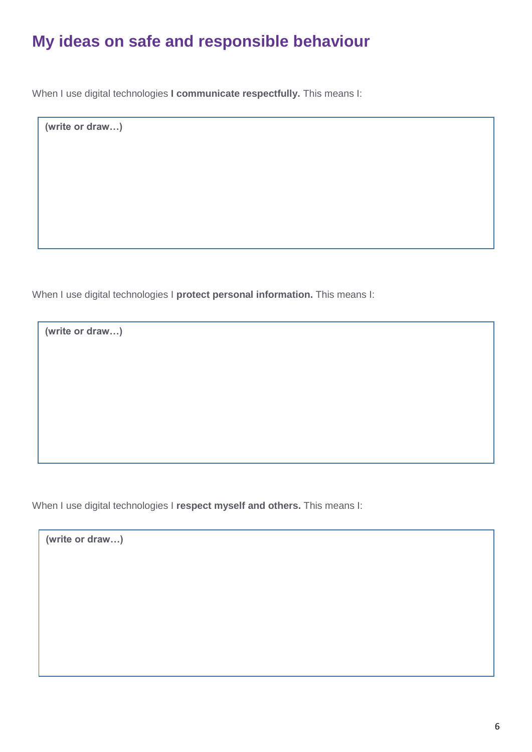# **My ideas on safe and responsible behaviour**

When I use digital technologies **I communicate respectfully.** This means I:

**(write or draw…)**

When I use digital technologies I **protect personal information.** This means I:

**(write or draw…)**

When I use digital technologies I **respect myself and others.** This means I:

**(write or draw…)**